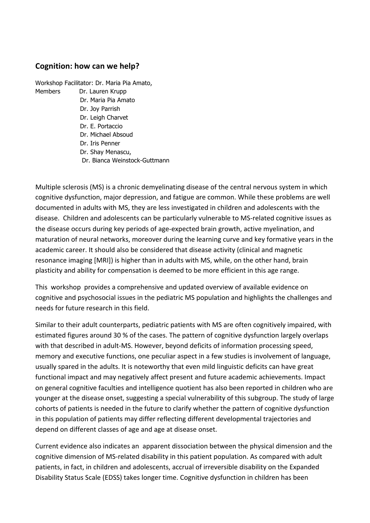## **Cognition: how can we help?**

Workshop Facilitator: Dr. Maria Pia Amato, Members Dr. Lauren Krupp Dr. Maria Pia Amato Dr. Joy Parrish Dr. Leigh Charvet Dr. E. Portaccio Dr. Michael Absoud Dr. Iris Penner Dr. Shay Menascu, Dr. Bianca Weinstock-Guttmann

Multiple sclerosis (MS) is a chronic demyelinating disease of the central nervous system in which cognitive dysfunction, major depression, and fatigue are common. While these problems are well documented in adults with MS, they are less investigated in children and adolescents with the disease. Children and adolescents can be particularly vulnerable to MS-related cognitive issues as the disease occurs during key periods of age-expected brain growth, active myelination, and maturation of neural networks, moreover during the learning curve and key formative years in the academic career. It should also be considered that disease activity (clinical and magnetic resonance imaging [MRI]) is higher than in adults with MS, while, on the other hand, brain plasticity and ability for compensation is deemed to be more efficient in this age range.

This workshop provides a comprehensive and updated overview of available evidence on cognitive and psychosocial issues in the pediatric MS population and highlights the challenges and needs for future research in this field.

Similar to their adult counterparts, pediatric patients with MS are often cognitively impaired, with estimated figures around 30 % of the cases. The pattern of cognitive dysfunction largely overlaps with that described in adult-MS. However, beyond deficits of information processing speed, memory and executive functions, one peculiar aspect in a few studies is involvement of language, usually spared in the adults. It is noteworthy that even mild linguistic deficits can have great functional impact and may negatively affect present and future academic achievements. Impact on general cognitive faculties and intelligence quotient has also been reported in children who are younger at the disease onset, suggesting a special vulnerability of this subgroup. The study of large cohorts of patients is needed in the future to clarify whether the pattern of cognitive dysfunction in this population of patients may differ reflecting different developmental trajectories and depend on different classes of age and age at disease onset.

Current evidence also indicates an apparent dissociation between the physical dimension and the cognitive dimension of MS-related disability in this patient population. As compared with adult patients, in fact, in children and adolescents, accrual of irreversible disability on the Expanded Disability Status Scale (EDSS) takes longer time. Cognitive dysfunction in children has been